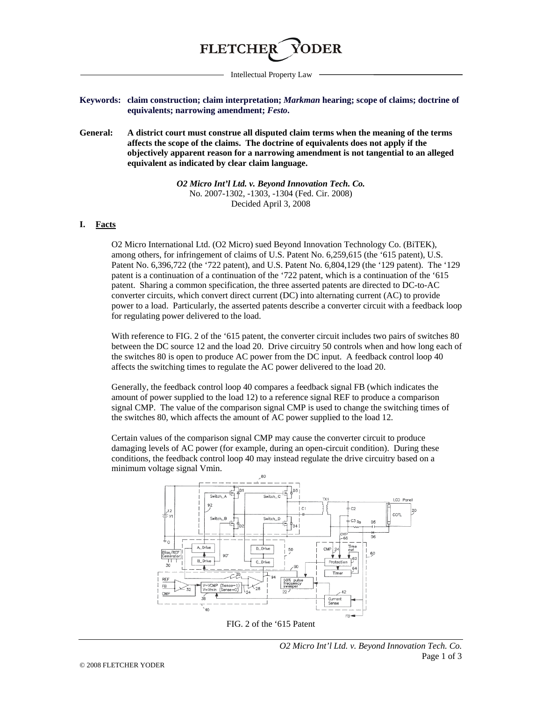

Intellectual Property Law

**Keywords: claim construction; claim interpretation;** *Markman* **hearing; scope of claims; doctrine of equivalents; narrowing amendment;** *Festo***.**

**General: A district court must construe all disputed claim terms when the meaning of the terms affects the scope of the claims. The doctrine of equivalents does not apply if the objectively apparent reason for a narrowing amendment is not tangential to an alleged equivalent as indicated by clear claim language.**

> *O2 Micro Int'l Ltd. v. Beyond Innovation Tech. Co.* No. 2007-1302, -1303, -1304 (Fed. Cir. 2008) Decided April 3, 2008

## **I. Facts**

O2 Micro International Ltd. (O2 Micro) sued Beyond Innovation Technology Co. (BiTEK), among others, for infringement of claims of U.S. Patent No. 6,259,615 (the '615 patent), U.S. Patent No. 6,396,722 (the '722 patent), and U.S. Patent No. 6,804,129 (the '129 patent). The '129 patent is a continuation of a continuation of the '722 patent, which is a continuation of the '615 patent. Sharing a common specification, the three asserted patents are directed to DC-to-AC converter circuits, which convert direct current (DC) into alternating current (AC) to provide power to a load. Particularly, the asserted patents describe a converter circuit with a feedback loop for regulating power delivered to the load.

With reference to FIG. 2 of the '615 patent, the converter circuit includes two pairs of switches 80 between the DC source 12 and the load 20. Drive circuitry 50 controls when and how long each of the switches 80 is open to produce AC power from the DC input. A feedback control loop 40 affects the switching times to regulate the AC power delivered to the load 20.

Generally, the feedback control loop 40 compares a feedback signal FB (which indicates the amount of power supplied to the load 12) to a reference signal REF to produce a comparison signal CMP. The value of the comparison signal CMP is used to change the switching times of the switches 80, which affects the amount of AC power supplied to the load 12.

Certain values of the comparison signal CMP may cause the converter circuit to produce damaging levels of AC power (for example, during an open-circuit condition). During these conditions, the feedback control loop 40 may instead regulate the drive circuitry based on a minimum voltage signal Vmin.



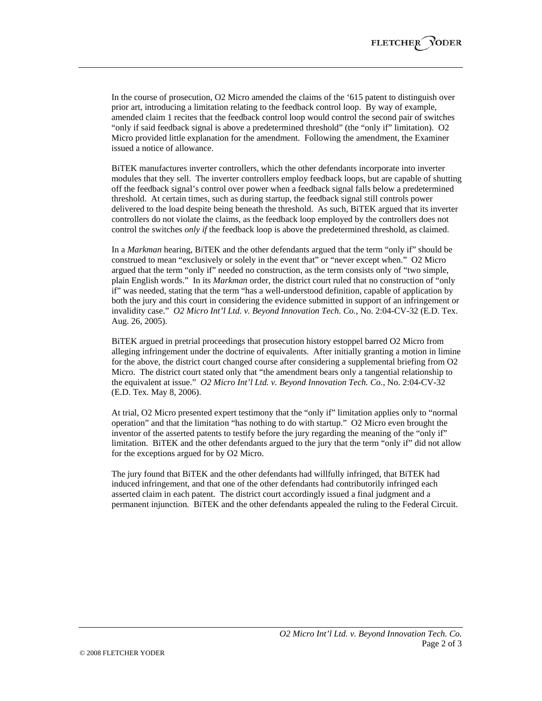In the course of prosecution, O2 Micro amended the claims of the '615 patent to distinguish over prior art, introducing a limitation relating to the feedback control loop. By way of example, amended claim 1 recites that the feedback control loop would control the second pair of switches "only if said feedback signal is above a predetermined threshold" (the "only if" limitation). O2 Micro provided little explanation for the amendment. Following the amendment, the Examiner issued a notice of allowance.

BiTEK manufactures inverter controllers, which the other defendants incorporate into inverter modules that they sell. The inverter controllers employ feedback loops, but are capable of shutting off the feedback signal's control over power when a feedback signal falls below a predetermined threshold. At certain times, such as during startup, the feedback signal still controls power delivered to the load despite being beneath the threshold. As such, BiTEK argued that its inverter controllers do not violate the claims, as the feedback loop employed by the controllers does not control the switches *only if* the feedback loop is above the predetermined threshold, as claimed.

In a *Markman* hearing, BiTEK and the other defendants argued that the term "only if" should be construed to mean "exclusively or solely in the event that" or "never except when." O2 Micro argued that the term "only if" needed no construction, as the term consists only of "two simple, plain English words." In its *Markman* order, the district court ruled that no construction of "only if" was needed, stating that the term "has a well-understood definition, capable of application by both the jury and this court in considering the evidence submitted in support of an infringement or invalidity case." *O2 Micro Int'l Ltd. v. Beyond Innovation Tech. Co.*, No. 2:04-CV-32 (E.D. Tex. Aug. 26, 2005).

BiTEK argued in pretrial proceedings that prosecution history estoppel barred O2 Micro from alleging infringement under the doctrine of equivalents. After initially granting a motion in limine for the above, the district court changed course after considering a supplemental briefing from O2 Micro. The district court stated only that "the amendment bears only a tangential relationship to the equivalent at issue." *O2 Micro Int'l Ltd. v. Beyond Innovation Tech. Co.*, No. 2:04-CV-32 (E.D. Tex. May 8, 2006).

At trial, O2 Micro presented expert testimony that the "only if" limitation applies only to "normal operation" and that the limitation "has nothing to do with startup." O2 Micro even brought the inventor of the asserted patents to testify before the jury regarding the meaning of the "only if" limitation. BiTEK and the other defendants argued to the jury that the term "only if" did not allow for the exceptions argued for by O2 Micro.

The jury found that BiTEK and the other defendants had willfully infringed, that BiTEK had induced infringement, and that one of the other defendants had contributorily infringed each asserted claim in each patent. The district court accordingly issued a final judgment and a permanent injunction. BiTEK and the other defendants appealed the ruling to the Federal Circuit.